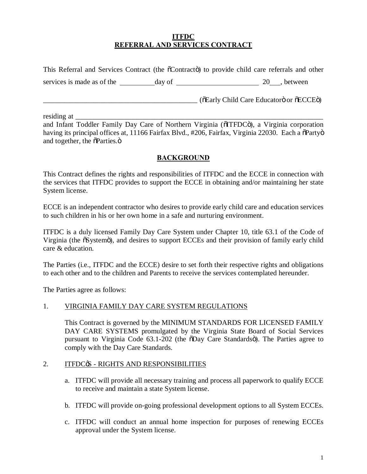### **ITFDC REFERRAL AND SERVICES CONTRACT**

This Referral and Services Contract (the  $\tilde{o}$ Contracto) to provide child care referrals and other

services is made as of the  $\frac{1}{20}$  day of  $\frac{1}{20}$  20 , between

\_\_\_\_\_\_\_\_\_\_\_\_\_\_\_\_\_\_\_\_\_\_\_\_\_\_\_\_\_\_\_\_\_\_\_\_\_\_\_\_\_\_\_ ("Early Child Care Educator" or "ECCE")

residing at

and Infant Toddler Family Day Care of Northern Virginia ( $\tilde{o}$ ITFDC $\tilde{o}$ ), a Virginia corporation having its principal offices at, 11166 Fairfax Blvd., #206, Fairfax, Virginia 22030. Each a  $\delta$ Party $\delta$ and together, the  $\delta$ Parties. $\ddot{\text{o}}$ 

# **BACKGROUND**

This Contract defines the rights and responsibilities of ITFDC and the ECCE in connection with the services that ITFDC provides to support the ECCE in obtaining and/or maintaining her state System license.

ECCE is an independent contractor who desires to provide early child care and education services to such children in his or her own home in a safe and nurturing environment.

ITFDC is a duly licensed Family Day Care System under Chapter 10, title 63.1 of the Code of Virginia (the  $\tilde{\text{o}}$ Systemö), and desires to support ECCEs and their provision of family early child care & education.

The Parties (i.e., ITFDC and the ECCE) desire to set forth their respective rights and obligations to each other and to the children and Parents to receive the services contemplated hereunder.

The Parties agree as follows:

### 1. VIRGINIA FAMILY DAY CARE SYSTEM REGULATIONS

This Contract is governed by the MINIMUM STANDARDS FOR LICENSED FAMILY DAY CARE SYSTEMS promulgated by the Virginia State Board of Social Services pursuant to Virginia Code 63.1-202 (the  $\delta$ Day Care Standardsö). The Parties agree to comply with the Day Care Standards.

### 2. ITFDC<sub>®</sub> - RIGHTS AND RESPONSIBILITIES

- a. ITFDC will provide all necessary training and process all paperwork to qualify ECCE to receive and maintain a state System license.
- b. ITFDC will provide on-going professional development options to all System ECCEs.
- c. ITFDC will conduct an annual home inspection for purposes of renewing ECCEs approval under the System license.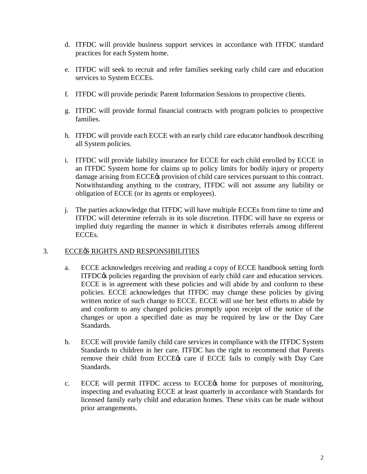- d. ITFDC will provide business support services in accordance with ITFDC standard practices for each System home.
- e. ITFDC will seek to recruit and refer families seeking early child care and education services to System ECCEs.
- f. ITFDC will provide periodic Parent Information Sessions to prospective clients.
- g. ITFDC will provide formal financial contracts with program policies to prospective families.
- h. ITFDC will provide each ECCE with an early child care educator handbook describing all System policies.
- i. ITFDC will provide liability insurance for ECCE for each child enrolled by ECCE in an ITFDC System home for claims up to policy limits for bodily injury or property damage arising from ECCE $\alpha$  provision of child care services pursuant to this contract. Notwithstanding anything to the contrary, ITFDC will not assume any liability or obligation of ECCE (or its agents or employees).
- j. The parties acknowledge that ITFDC will have multiple ECCEs from time to time and ITFDC will determine referrals in its sole discretion. ITFDC will have no express or implied duty regarding the manner in which it distributes referrals among different ECCEs.

#### 3. ECCES RIGHTS AND RESPONSIBILITIES

- a. ECCE acknowledges receiving and reading a copy of ECCE handbook setting forth ITFDC $\circ$ s policies regarding the provision of early child care and education services. ECCE is in agreement with these policies and will abide by and conform to these policies. ECCE acknowledges that ITFDC may change these policies by giving written notice of such change to ECCE. ECCE will use her best efforts to abide by and conform to any changed policies promptly upon receipt of the notice of the changes or upon a specified date as may be required by law or the Day Care Standards.
- b. ECCE will provide family child care services in compliance with the ITFDC System Standards to children in her care. ITFDC has the right to recommend that Parents remove their child from ECCE $\alpha$  care if ECCE fails to comply with Day Care Standards.
- c. ECCE will permit ITFDC access to ECCE<sup>®</sup> home for purposes of monitoring, inspecting and evaluating ECCE at least quarterly in accordance with Standards for licensed family early child and education homes. These visits can be made without prior arrangements.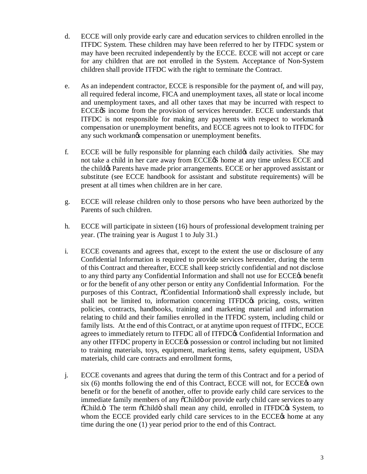- d. ECCE will only provide early care and education services to children enrolled in the ITFDC System. These children may have been referred to her by ITFDC system or may have been recruited independently by the ECCE. ECCE will not accept or care for any children that are not enrolled in the System. Acceptance of Non-System children shall provide ITFDC with the right to terminate the Contract.
- e. As an independent contractor, ECCE is responsible for the payment of, and will pay, all required federal income, FICA and unemployment taxes, all state or local income and unemployment taxes, and all other taxes that may be incurred with respect to ECCE& income from the provision of services hereunder. ECCE understands that ITFDC is not responsible for making any payments with respect to workman's compensation or unemployment benefits, and ECCE agrees not to look to ITFDC for any such workmangs compensation or unemployment benefits.
- f. ECCE will be fully responsible for planning each child the daily activities. She may not take a child in her care away from ECCE& home at any time unless ECCE and the child & Parents have made prior arrangements. ECCE or her approved assistant or substitute (see ECCE handbook for assistant and substitute requirements) will be present at all times when children are in her care.
- g. ECCE will release children only to those persons who have been authorized by the Parents of such children.
- h. ECCE will participate in sixteen (16) hours of professional development training per year. (The training year is August 1 to July 31.)
- i. ECCE covenants and agrees that, except to the extent the use or disclosure of any Confidential Information is required to provide services hereunder, during the term of this Contract and thereafter, ECCE shall keep strictly confidential and not disclose to any third party any Confidential Information and shall not use for ECCE<sub>®</sub> benefit or for the benefit of any other person or entity any Confidential Information. For the purposes of this Contract,  $\tilde{o}$ Confidential Information $\ddot{o}$  shall expressly include, but shall not be limited to, information concerning ITFDC $\alpha$  pricing, costs, written policies, contracts, handbooks, training and marketing material and information relating to child and their families enrolled in the ITFDC system, including child or family lists. At the end of this Contract, or at anytime upon request of ITFDC, ECCE agrees to immediately return to ITFDC all of ITFDC $\alpha$  Confidential Information and any other ITFDC property in ECCE $\alpha$  possession or control including but not limited to training materials, toys, equipment, marketing items, safety equipment, USDA materials, child care contracts and enrollment forms,
- j. ECCE covenants and agrees that during the term of this Contract and for a period of six  $(6)$  months following the end of this Contract, ECCE will not, for ECCE $\alpha$  own benefit or for the benefit of another, offer to provide early child care services to the immediate family members of any  $\tilde{c}$ Childö or provide early child care services to any  $\ddot{\text{o}}$ Child. $\ddot{\text{o}}$  The term  $\ddot{\text{o}}$ Child $\ddot{\text{o}}$  shall mean any child, enrolled in ITFDC $\alpha$ s System, to whom the ECCE provided early child care services to in the ECCE<sup>®</sup> home at any time during the one (1) year period prior to the end of this Contract.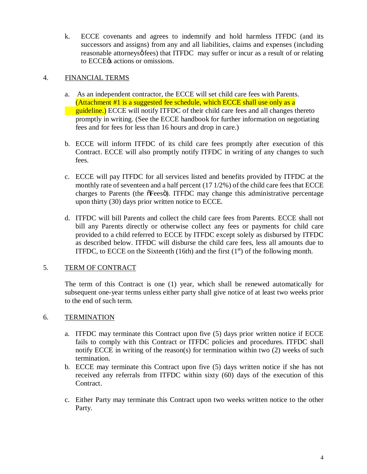k. ECCE covenants and agrees to indemnify and hold harmless ITFDC (and its successors and assigns) from any and all liabilities, claims and expenses (including reasonable attorneys of fees) that ITFDC may suffer or incur as a result of or relating to ECCE $\alpha$  actions or omissions.

## 4. FINANCIAL TERMS

- a. As an independent contractor, the ECCE will set child care fees with Parents. (Attachment #1 is a suggested fee schedule, which ECCE shall use only as a **guideline.)** ECCE will notify ITFDC of their child care fees and all changes thereto promptly in writing. (See the ECCE handbook for further information on negotiating fees and for fees for less than 16 hours and drop in care.)
- b. ECCE will inform ITFDC of its child care fees promptly after execution of this Contract. ECCE will also promptly notify ITFDC in writing of any changes to such fees.
- c. ECCE will pay ITFDC for all services listed and benefits provided by ITFDC at the monthly rate of seventeen and a half percent (17 1/2%) of the child care fees that ECCE charges to Parents (the orfeeso). ITFDC may change this administrative percentage upon thirty (30) days prior written notice to ECCE.
- d. ITFDC will bill Parents and collect the child care fees from Parents. ECCE shall not bill any Parents directly or otherwise collect any fees or payments for child care provided to a child referred to ECCE by ITFDC except solely as disbursed by ITFDC as described below. ITFDC will disburse the child care fees, less all amounts due to ITFDC, to ECCE on the Sixteenth (16th) and the first  $(1<sup>st</sup>)$  of the following month.

### 5. TERM OF CONTRACT

The term of this Contract is one (1) year, which shall be renewed automatically for subsequent one-year terms unless either party shall give notice of at least two weeks prior to the end of such term.

### 6. TERMINATION

- a. ITFDC may terminate this Contract upon five (5) days prior written notice if ECCE fails to comply with this Contract or ITFDC policies and procedures. ITFDC shall notify ECCE in writing of the reason(s) for termination within two (2) weeks of such termination.
- b. ECCE may terminate this Contract upon five (5) days written notice if she has not received any referrals from ITFDC within sixty (60) days of the execution of this Contract.
- c. Either Party may terminate this Contract upon two weeks written notice to the other Party.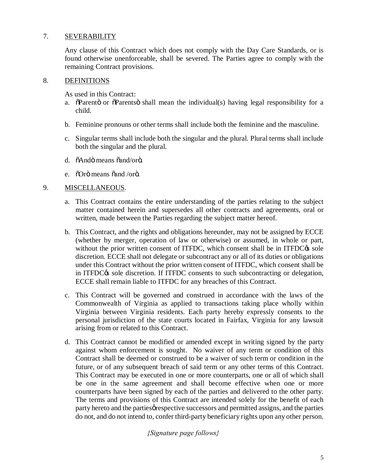# 7. SEVERABILITY

Any clause of this Contract which does not comply with the Day Care Standards, or is found otherwise unenforceable, shall be severed. The Parties agree to comply with the remaining Contract provisions.

#### 8. DEFINITIONS

As used in this Contract:

- a. "The operation or  $\tilde{\rho}$ Parents is shall mean the individual(s) having legal responsibility for a child.
- b. Feminine pronouns or other terms shall include both the feminine and the masculine.
- c. Singular terms shall include both the singular and the plural. Plural terms shall include both the singular and the plural.
- d.  $\ddot{\text{o}}$ Andö means  $\ddot{\text{o}}$ and/orö.
- e.  $\delta$ Orö means  $\delta$ and /orö.

#### 9. MISCELLANEOUS.

- a. This Contract contains the entire understanding of the parties relating to the subject matter contained herein and supersedes all other contracts and agreements, oral or written, made between the Parties regarding the subject matter hereof.
- b. This Contract, and the rights and obligations hereunder, may not be assigned by ECCE (whether by merger, operation of law or otherwise) or assumed, in whole or part, without the prior written consent of ITFDC, which consent shall be in ITFDC $\alpha$  sole discretion. ECCE shall not delegate or subcontract any or all of its duties or obligations under this Contract without the prior written consent of ITFDC, which consent shall be in ITFDC $\alpha$  sole discretion. If ITFDC consents to such subcontracting or delegation, ECCE shall remain liable to ITFDC for any breaches of this Contract.
- c. This Contract will be governed and construed in accordance with the laws of the Commonwealth of Virginia as applied to transactions taking place wholly within Virginia between Virginia residents. Each party hereby expressly consents to the personal jurisdiction of the state courts located in Fairfax, Virginia for any lawsuit arising from or related to this Contract.
- d. This Contract cannot be modified or amended except in writing signed by the party against whom enforcement is sought. No waiver of any term or condition of this Contract shall be deemed or construed to be a waiver of such term or condition in the future, or of any subsequent breach of said term or any other terms of this Contract. This Contract may be executed in one or more counterparts, one or all of which shall be one in the same agreement and shall become effective when one or more counterparts have been signed by each of the parties and delivered to the other party. The terms and provisions of this Contract are intended solely for the benefit of each party hereto and the parties presective successors and permitted assigns, and the parties do not, and do not intend to, confer third-party beneficiary rights upon any other person.

*{Signature page follows}*